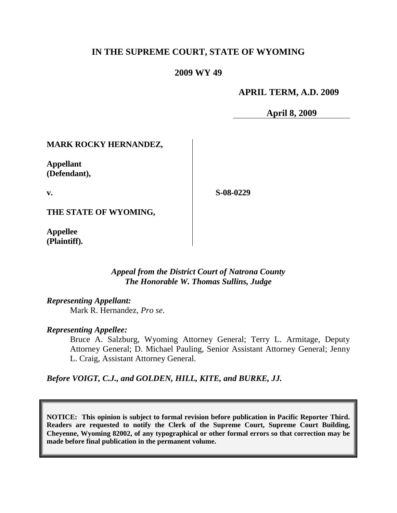# **IN THE SUPREME COURT, STATE OF WYOMING**

## **2009 WY 49**

## **APRIL TERM, A.D. 2009**

**April 8, 2009**

## **MARK ROCKY HERNANDEZ,**

**Appellant (Defendant),**

**v.**

**S-08-0229**

**THE STATE OF WYOMING,**

**Appellee (Plaintiff).**

#### *Appeal from the District Court of Natrona County The Honorable W. Thomas Sullins, Judge*

*Representing Appellant:*

Mark R. Hernandez, *Pro se*.

#### *Representing Appellee:*

Bruce A. Salzburg, Wyoming Attorney General; Terry L. Armitage, Deputy Attorney General; D. Michael Pauling, Senior Assistant Attorney General; Jenny L. Craig, Assistant Attorney General.

*Before VOIGT, C.J., and GOLDEN, HILL, KITE, and BURKE, JJ.*

**NOTICE: This opinion is subject to formal revision before publication in Pacific Reporter Third. Readers are requested to notify the Clerk of the Supreme Court, Supreme Court Building, Cheyenne, Wyoming 82002, of any typographical or other formal errors so that correction may be made before final publication in the permanent volume.**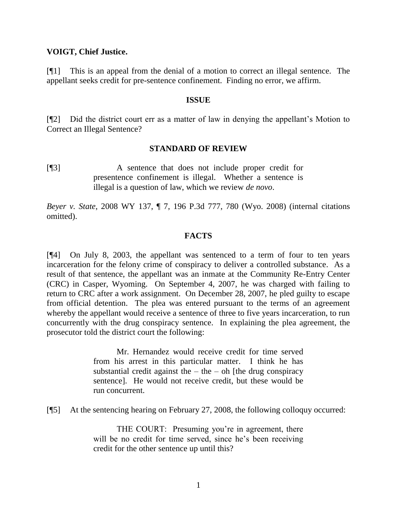#### **VOIGT, Chief Justice.**

[¶1] This is an appeal from the denial of a motion to correct an illegal sentence. The appellant seeks credit for pre-sentence confinement. Finding no error, we affirm.

#### **ISSUE**

[¶2] Did the district court err as a matter of law in denying the appellant's Motion to Correct an Illegal Sentence?

## **STANDARD OF REVIEW**

[¶3] A sentence that does not include proper credit for presentence confinement is illegal. Whether a sentence is illegal is a question of law, which we review *de novo*.

*Beyer v. State*, 2008 WY 137, ¶ 7, 196 P.3d 777, 780 (Wyo. 2008) (internal citations omitted).

## **FACTS**

[¶4] On July 8, 2003, the appellant was sentenced to a term of four to ten years incarceration for the felony crime of conspiracy to deliver a controlled substance. As a result of that sentence, the appellant was an inmate at the Community Re-Entry Center (CRC) in Casper, Wyoming. On September 4, 2007, he was charged with failing to return to CRC after a work assignment. On December 28, 2007, he pled guilty to escape from official detention. The plea was entered pursuant to the terms of an agreement whereby the appellant would receive a sentence of three to five years incarceration, to run concurrently with the drug conspiracy sentence. In explaining the plea agreement, the prosecutor told the district court the following:

> Mr. Hernandez would receive credit for time served from his arrest in this particular matter. I think he has substantial credit against the  $-$  the  $-$  oh [the drug conspiracy sentence]. He would not receive credit, but these would be run concurrent.

[¶5] At the sentencing hearing on February 27, 2008, the following colloquy occurred:

THE COURT: Presuming you're in agreement, there will be no credit for time served, since he's been receiving credit for the other sentence up until this?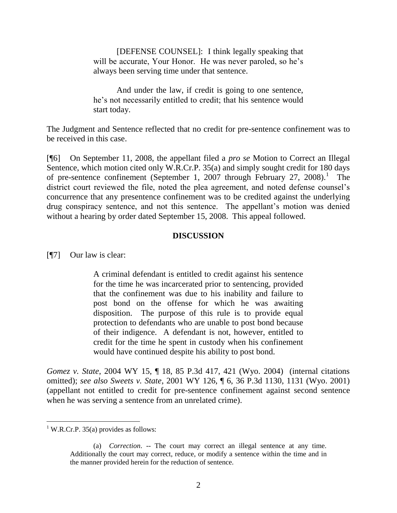[DEFENSE COUNSEL]: I think legally speaking that will be accurate, Your Honor. He was never paroled, so he's always been serving time under that sentence.

And under the law, if credit is going to one sentence, he's not necessarily entitled to credit; that his sentence would start today.

The Judgment and Sentence reflected that no credit for pre-sentence confinement was to be received in this case.

[¶6] On September 11, 2008, the appellant filed a *pro se* Motion to Correct an Illegal Sentence, which motion cited only W.R.Cr.P. 35(a) and simply sought credit for 180 days of pre-sentence confinement (September 1, 2007 through February 27, 2008).<sup>1</sup> The district court reviewed the file, noted the plea agreement, and noted defense counsel's concurrence that any presentence confinement was to be credited against the underlying drug conspiracy sentence, and not this sentence. The appellant's motion was denied without a hearing by order dated September 15, 2008. This appeal followed.

## **DISCUSSION**

[¶7] Our law is clear:

A criminal defendant is entitled to credit against his sentence for the time he was incarcerated prior to sentencing, provided that the confinement was due to his inability and failure to post bond on the offense for which he was awaiting disposition. The purpose of this rule is to provide equal protection to defendants who are unable to post bond because of their indigence. A defendant is not, however, entitled to credit for the time he spent in custody when his confinement would have continued despite his ability to post bond.

*Gomez v. State*, 2004 WY 15, ¶ 18, 85 P.3d 417, 421 (Wyo. 2004) (internal citations omitted); *see also Sweets v. State*, 2001 WY 126, ¶ 6, 36 P.3d 1130, 1131 (Wyo. 2001) (appellant not entitled to credit for pre-sentence confinement against second sentence when he was serving a sentence from an unrelated crime).

 <sup>1</sup> W.R.Cr.P. 35(a) provides as follows:

<sup>(</sup>a) *Correction*. -- The court may correct an illegal sentence at any time. Additionally the court may correct, reduce, or modify a sentence within the time and in the manner provided herein for the reduction of sentence.